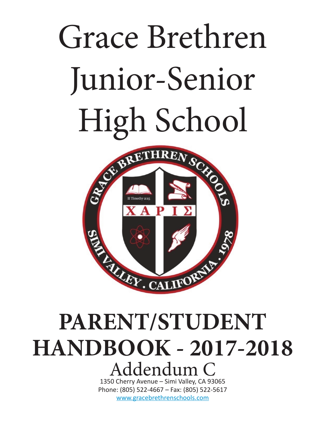# Grace Brethren Junior-Senior



# **PARENT/STUDENT HANDBOOK - 2017-2018** Addendum C

1350 Cherry Avenue – Simi Valley, CA 93065 Phone: (805) 522-4667 – Fax: (805) 522-5617 www.gracebrethrenschools.com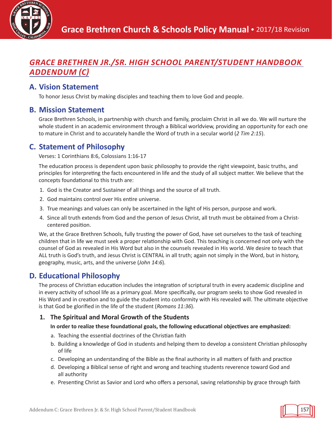

# *GRACE BRETHREN JR./SR. HIGH SCHOOL PARENT/STUDENT HANDBOOK ADDENDUM (C)*

# **A. Vision Statement**

To honor Jesus Christ by making disciples and teaching them to love God and people.

# **B. Mission Statement**

Grace Brethren Schools, in partnership with church and family, proclaim Christ in all we do. We will nurture the whole student in an academic environment through a Biblical worldview, providing an opportunity for each one to mature in Christ and to accurately handle the Word of truth in a secular world (*2 Tim 2:15*).

# **C. Statement of Philosophy**

Verses: 1 Corinthians 8:6, Colossians 1:16-17

The education process is dependent upon basic philosophy to provide the right viewpoint, basic truths, and principles for interpreting the facts encountered in life and the study of all subject matter. We believe that the concepts foundational to this truth are:

- 1. God is the Creator and Sustainer of all things and the source of all truth.
- 2. God maintains control over His entire universe.
- 3. True meanings and values can only be ascertained in the light of His person, purpose and work.
- 4. Since all truth extends from God and the person of Jesus Christ, all truth must be obtained from a Christcentered position.

We, at the Grace Brethren Schools, fully trusting the power of God, have set ourselves to the task of teaching children that in life we must seek a proper relationship with God. This teaching is concerned not only with the counsel of God as revealed in His Word but also in the counsels revealed in His world. We desire to teach that ALL truth is God's truth, and Jesus Christ is CENTRAL in all truth; again not simply in the Word, but in history, geography, music, arts, and the universe (*John 14:6*).

# **D. Educational Philosophy**

The process of Christian education includes the integration of scriptural truth in every academic discipline and in every activity of school life as a primary goal. More specifically, our program seeks to show God revealed in His Word and in creation and to guide the student into conformity with His revealed will. The ultimate objective is that God be glorified in the life of the student (*Romans 11:36*).

#### **1. The Spiritual and Moral Growth of the Students**

#### **In order to realize these foundational goals, the following educational objectives are emphasized:**

- a. Teaching the essential doctrines of the Christian faith
- b. Building a knowledge of God in students and helping them to develop a consistent Christian philosophy of life
- c. Developing an understanding of the Bible as the final authority in all matters of faith and practice
- d. Developing a Biblical sense of right and wrong and teaching students reverence toward God and all authority
- e. Presenting Christ as Savior and Lord who offers a personal, saving relationship by grace through faith

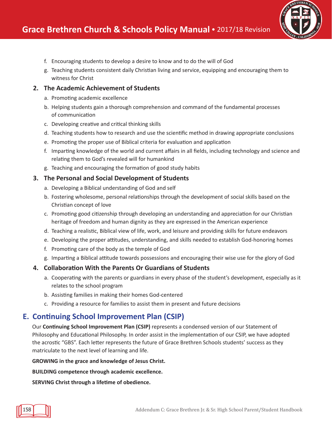

- f. Encouraging students to develop a desire to know and to do the will of God
- g. Teaching students consistent daily Christian living and service, equipping and encouraging them to witness for Christ

#### **2. The Academic Achievement of Students**

- a. Promoting academic excellence
- b. Helping students gain a thorough comprehension and command of the fundamental processes of communication
- c. Developing creative and critical thinking skills
- d. Teaching students how to research and use the scientific method in drawing appropriate conclusions
- e. Promoting the proper use of Biblical criteria for evaluation and application
- f. Imparting knowledge of the world and current affairs in all fields, including technology and science and relating them to God's revealed will for humankind
- g. Teaching and encouraging the formation of good study habits

#### **3. The Personal and Social Development of Students**

- a. Developing a Biblical understanding of God and self
- b. Fostering wholesome, personal relationships through the development of social skills based on the Christian concept of love
- c. Promoting good citizenship through developing an understanding and appreciation for our Christian heritage of freedom and human dignity as they are expressed in the American experience
- d. Teaching a realistic, Biblical view of life, work, and leisure and providing skills for future endeavors
- e. Developing the proper attitudes, understanding, and skills needed to establish God-honoring homes
- f. Promoting care of the body as the temple of God
- g. Imparting a Biblical attitude towards possessions and encouraging their wise use for the glory of God

#### **4. Collaboration With the Parents Or Guardians of Students**

- a. Cooperating with the parents or guardians in every phase of the student's development, especially as it relates to the school program
- b. Assisting families in making their homes God-centered
- c. Providing a resource for families to assist them in present and future decisions

# **E. Continuing School Improvement Plan (CSIP)**

Our **Continuing School Improvement Plan (CSIP)** represents a condensed version of our Statement of Philosophy and Educational Philosophy. In order assist in the implementation of our CSIP, we have adopted the acrostic "GBS". Each letter represents the future of Grace Brethren Schools students' success as they matriculate to the next level of learning and life.

#### **GROWING in the grace and knowledge of Jesus Christ.**

**BUILDING competence through academic excellence.**

**SERVING Christ through a lifetime of obedience.**

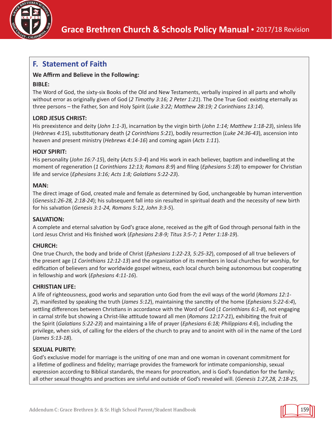

# **F. Statement of Faith**

#### **We Affirm and Believe in the Following:**

#### **BIBLE:**

The Word of God, the sixty-six Books of the Old and New Testaments, verbally inspired in all parts and wholly without error as originally given of God (*2 Timothy 3:16; 2 Peter 1:21*). The One True God: existing eternally as three persons – the Father, Son and Holy Spirit (*Luke 3:22; Matthew 28:19; 2 Corinthians 13:14*).

#### **LORD JESUS CHRIST:**

His preexistence and deity (*John 1:1-3*), incarnation by the virgin birth (*John 1:14; Matthew 1:18-23*), sinless life (*Hebrews 4:15*), substitutionary death (*2 Corinthians 5:21*), bodily resurrection (*Luke 24:36-43*), ascension into heaven and present ministry (*Hebrews 4:14-16*) and coming again (*Acts 1:11*).

#### **HOLY SPIRIT:**

His personality (*John 16:7-15*), deity (*Acts 5:3-4*) and His work in each believer, baptism and indwelling at the moment of regeneration (*1 Corinthians 12:13; Romans 8:9*) and filing (*Ephesians 5:18*) to empower for Christian life and service (*Ephesians 3:16; Acts 1:8; Galatians 5:22-23*).

#### **MAN:**

The direct image of God, created male and female as determined by God, unchangeable by human intervention (*Genesis1:26-28, 2:18-24*); his subsequent fall into sin resulted in spiritual death and the necessity of new birth for his salvation (*Genesis 3:1-24, Romans 5:12, John 3:3-5*).

#### **SALVATION:**

A complete and eternal salvation by God's grace alone, received as the gift of God through personal faith in the Lord Jesus Christ and His finished work (*Ephesians 2:8-9; Titus 3:5-7; 1 Peter 1:18-19*).

#### **CHURCH:**

One true Church, the body and bride of Christ (*Ephesians 1:22-23, 5:25-32*), composed of all true believers of the present age (*1 Corinthians 12:12-13*) and the organization of its members in local churches for worship, for edification of believers and for worldwide gospel witness, each local church being autonomous but cooperating in fellowship and work (*Ephesians 4:11-16*).

#### **CHRISTIAN LIFE:**

A life of righteousness, good works and separation unto God from the evil ways of the world (*Romans 12:1- 2*), manifested by speaking the truth (*James 5:12*), maintaining the sanctity of the home (*Ephesians 5:22-6:4*), settling differences between Christians in accordance with the Word of God (*1 Corinthians 6:1-8*), not engaging in carnal strife but showing a Christ-like attitude toward all men (*Romans 12:17-21*), exhibiting the fruit of the Spirit (*Galatians 5:22-23*) and maintaining a life of prayer (*Ephesians 6:18; Philippians 4:6*), including the privilege, when sick, of calling for the elders of the church to pray and to anoint with oil in the name of the Lord (*James 5:13-18*).

#### **SEXUAL PURITY:**

God's exclusive model for marriage is the uniting of one man and one woman in covenant commitment for a lifetime of godliness and fidelity; marriage provides the framework for intimate companionship, sexual expression according to Biblical standards, the means for procreation, and is God's foundation for the family; all other sexual thoughts and practices are sinful and outside of God's revealed will. (*Genesis 1:27,28, 2:18-25,* 

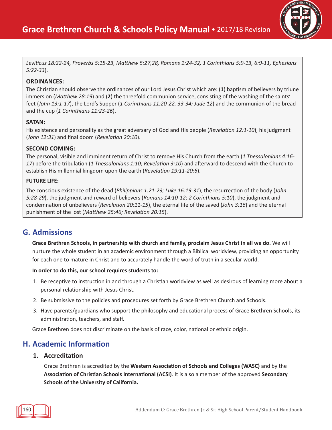

*Leviticus 18:22-24, Proverbs 5:15-23, Matthew 5:27,28, Romans 1:24-32, 1 Corinthians 5:9-13, 6:9-11, Ephesians 5:22-33*).

#### **ORDINANCES:**

The Christian should observe the ordinances of our Lord Jesus Christ which are: (**1**) baptism of believers by triune immersion (*Matthew 28:19*) and (**2**) the threefold communion service, consisting of the washing of the saints' feet (*John 13:1-17*), the Lord's Supper (*1 Corinthians 11:20-22, 33-34; Jude 12*) and the communion of the bread and the cup (*1 Corinthians 11:23-26*).

#### **SATAN:**

His existence and personality as the great adversary of God and His people (*Revelation 12:1-10*), his judgment (*John 12:31*) and final doom (*Revelation 20:10*).

#### **SECOND COMING:**

The personal, visible and imminent return of Christ to remove His Church from the earth (*1 Thessalonians 4:16- 17*) before the tribulation (*1 Thessalonians 1:10; Revelation 3:10*) and afterward to descend with the Church to establish His millennial kingdom upon the earth (*Revelation 19:11-20:6*).

#### **FUTURE LIFE:**

The conscious existence of the dead (*Philippians 1:21-23; Luke 16:19-31*), the resurrection of the body (*John 5:28-29*), the judgment and reward of believers (*Romans 14:10-12; 2 Corinthians 5:10*), the judgment and condemnation of unbelievers (*Revelation 20:11-15*), the eternal life of the saved (*John 3:16*) and the eternal punishment of the lost (*Matthew 25:46; Revelation 20:15*).

# **G. Admissions**

**Grace Brethren Schools, in partnership with church and family, proclaim Jesus Christ in all we do.** We will nurture the whole student in an academic environment through a Biblical worldview, providing an opportunity for each one to mature in Christ and to accurately handle the word of truth in a secular world.

#### **In order to do this, our school requires students to:**

- 1. Be receptive to instruction in and through a Christian worldview as well as desirous of learning more about a personal relationship with Jesus Christ.
- 2. Be submissive to the policies and procedures set forth by Grace Brethren Church and Schools.
- 3. Have parents/guardians who support the philosophy and educational process of Grace Brethren Schools, its administration, teachers, and staff.

Grace Brethren does not discriminate on the basis of race, color, national or ethnic origin.

# **H. Academic Information**

#### **1. Accreditation**

Grace Brethren is accredited by the **Western Association of Schools and Colleges (WASC)** and by the **Association of Christian Schools International (ACSI)**. It is also a member of the approved **Secondary Schools of the University of California.**

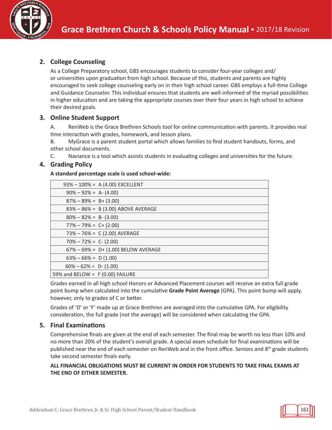

#### **2. College Counseling**

As a College Preparatory school, GBS encourages students to consider four-year colleges and/ or universities upon graduation from high school. Because of this, students and parents are highly encouraged to seek college counseling early on in their high school career. GBS employs a full-time College and Guidance Counselor. This individual ensures that students are well-informed of the myriad possibilities in higher education and are taking the appropriate courses over their four years in high school to achieve their desired goals.

#### **3. Online Student Support**

A. RenWeb is the Grace Brethren Schools tool for online communication with parents. It provides real time interaction with grades, homework, and lesson plans.

B. MyGrace is a parent student portal which allows families to find student handouts, forms, and other school documents.

C. Naviance is a tool which assists students in evaluating colleges and universities for the future.

#### **4. Grading Policy**

#### **A standard percentage scale is used school-wide:**

|                                   | 93% - 100% = A (4.00) EXCELLENT     |
|-----------------------------------|-------------------------------------|
| $90\% - 92\% = A - (4.00)$        |                                     |
| $87\% - 89\% = B + (3.00)$        |                                     |
|                                   | 83% - 86% = B (3.00) ABOVE AVERAGE  |
| $80\% - 82\% = B - (3.00)$        |                                     |
| $77\% - 79\% = C + (2.00)$        |                                     |
|                                   | 73% - 76% = C (2.00) AVERAGE        |
| $70\% - 72\% = C - (2.00)$        |                                     |
|                                   | 67% - 69% = D+ (1.00) BELOW AVERAGE |
| $63\% - 66\% = D(1.00)$           |                                     |
| $60\% - 62\% = D - (1.00)$        |                                     |
| 59% and BELOW = $F(0.00)$ FAILURE |                                     |

Grades earned in all high school Honors or Advanced Placement courses will receive an extra full grade point bump when calculated into the cumulative **Grade Point Average** (GPA). This point bump will apply, however, only to grades of C or better.

Grades of 'D' or 'F' made up at Grace Brethren are averaged into the cumulative GPA. For eligibility consideration, the full grade (not the average) will be considered when calculating the GPA.

#### **5. Final Examinations**

Comprehensive finals are given at the end of each semester. The final may be worth no less than 10% and no more than 20% of the student's overall grade. A special exam schedule for final examinations will be published near the end of each semester on RenWeb and in the front office. Seniors and 8<sup>th</sup> grade students take second semester finals early.

#### **ALL FINANCIAL OBLIGATIONS MUST BE CURRENT IN ORDER FOR STUDENTS TO TAKE FINAL EXAMS AT THE END OF EITHER SEMESTER.**

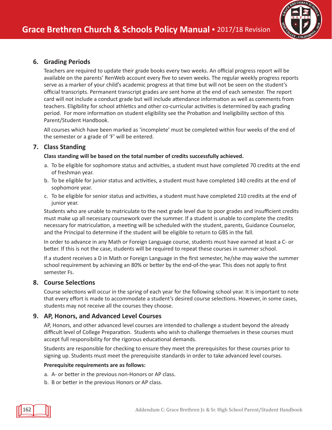

#### **6. Grading Periods**

Teachers are required to update their grade books every two weeks. An official progress report will be available on the parents' RenWeb account every five to seven weeks. The regular weekly progress reports serve as a marker of your child's academic progress at that time but will not be seen on the student's official transcripts. Permanent transcript grades are sent home at the end of each semester. The report card will not include a conduct grade but will include attendance information as well as comments from teachers. Eligibility for school athletics and other co-curricular activities is determined by each grading period. For more information on student eligibility see the Probation and Ineligibility section of this Parent/Student Handbook.

All courses which have been marked as 'incomplete' must be completed within four weeks of the end of the semester or a grade of 'F' will be entered.

#### **7. Class Standing**

#### **Class standing will be based on the total number of credits successfully achieved.**

- a. To be eligible for sophomore status and activities, a student must have completed 70 credits at the end of freshman year.
- b. To be eligible for junior status and activities, a student must have completed 140 credits at the end of sophomore year.
- c. To be eligible for senior status and activities, a student must have completed 210 credits at the end of junior year.

Students who are unable to matriculate to the next grade level due to poor grades and insufficient credits must make up all necessary coursework over the summer. If a student is unable to complete the credits necessary for matriculation, a meeting will be scheduled with the student, parents, Guidance Counselor, and the Principal to determine if the student will be eligible to return to GBS in the fall.

In order to advance in any Math or Foreign Language course, students must have earned at least a C- or better. If this is not the case, students will be required to repeat these courses in summer school.

If a student receives a D in Math or Foreign Language in the first semester, he/she may waive the summer school requirement by achieving an 80% or better by the end-of-the-year. This does not apply to first semester Fs.

#### **8. Course Selections**

Course selections will occur in the spring of each year for the following school year. It is important to note that every effort is made to accommodate a student's desired course selections. However, in some cases, students may not receive all the courses they choose.

#### **9. AP, Honors, and Advanced Level Courses**

AP, Honors, and other advanced level courses are intended to challenge a student beyond the already difficult level of College Preparation. Students who wish to challenge themselves in these courses must accept full responsibility for the rigorous educational demands.

Students are responsible for checking to ensure they meet the prerequisites for these courses prior to signing up. Students must meet the prerequisite standards in order to take advanced level courses.

#### **Prerequisite requirements are as follows:**

- a. A- or better in the previous non-Honors or AP class.
- b. B or better in the previous Honors or AP class.

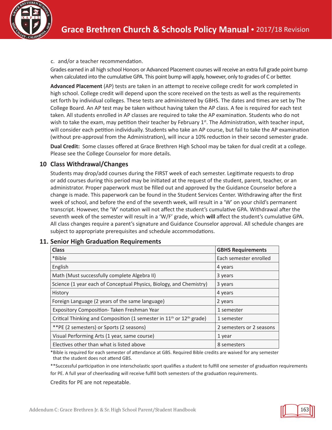

c. and/or a teacher recommendation.

Grades earned in all high school Honors or Advanced Placement courses will receive an extra full grade point bump when calculated into the cumulative GPA. This point bump will apply, however, only to grades of C or better.

**Advanced Placement** (AP) tests are taken in an attempt to receive college credit for work completed in high school. College credit will depend upon the score received on the tests as well as the requirements set forth by individual colleges. These tests are administered by GBHS. The dates and times are set by The College Board. An AP test may be taken without having taken the AP class. A fee is required for each test taken. All students enrolled in AP classes are required to take the AP examination. Students who do not wish to take the exam, may petition their teacher by February 1<sup>st</sup>. The Administration, with teacher input, will consider each petition individually. Students who take an AP course, but fail to take the AP examination (without pre-approval from the Administration), will incur a 10% reduction in their second semester grade.

**Dual Credit:** Some classes offered at Grace Brethren High School may be taken for dual credit at a college. Please see the College Counselor for more details.

#### **10 Class Withdrawal/Changes**

Students may drop/add courses during the FIRST week of each semester. Legitimate requests to drop or add courses during this period may be initiated at the request of the student, parent, teacher, or an administrator. Proper paperwork must be filled out and approved by the Guidance Counselor before a change is made. This paperwork can be found in the Student Services Center. Withdrawing after the first week of school, and before the end of the seventh week, will result in a 'W' on your child's permanent transcript. However, the 'W' notation will not affect the student's cumulative GPA. Withdrawal after the seventh week of the semester will result in a 'W/F' grade, which **will** affect the student's cumulative GPA. All class changes require a parent's signature and Guidance Counselor approval. All schedule changes are subject to appropriate prerequisites and schedule accommodations.

| <b>Class</b>                                                                                 | <b>GBHS Requirements</b> |
|----------------------------------------------------------------------------------------------|--------------------------|
| *Bible                                                                                       | Each semester enrolled   |
| English                                                                                      | 4 years                  |
| Math (Must successfully complete Algebra II)                                                 | 3 years                  |
| Science (1 year each of Conceptual Physics, Biology, and Chemistry)                          | 3 years                  |
| History                                                                                      | 4 years                  |
| Foreign Language (2 years of the same language)                                              | 2 years                  |
| Expository Composition-Taken Freshman Year                                                   | 1 semester               |
| Critical Thinking and Composition (1 semester in 11 <sup>th</sup> or 12 <sup>th</sup> grade) | 1 semester               |
| **PE (2 semesters) or Sports (2 seasons)                                                     | 2 semesters or 2 seasons |
| Visual Performing Arts (1 year, same course)                                                 | 1 year                   |
| Electives other than what is listed above                                                    | 8 semesters              |

#### **11. Senior High Graduation Requirements**

\*Bible is required for each semester of attendance at GBS. Required Bible credits are waived for any semester that the student does not attend GBS.

\*\*Successful participation in one interscholastic sport qualifies a student to fulfill one semester of graduation requirements for PE. A full year of cheerleading will receive fulfill both semesters of the graduation requirements.

Credits for PE are not repeatable.

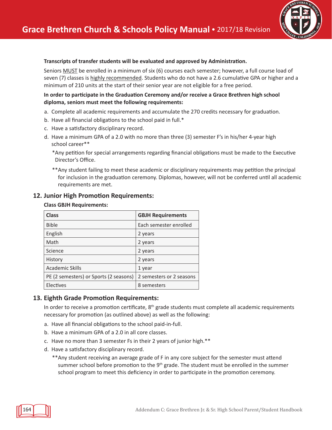## **Transcripts of transfer students will be evaluated and approved by Administration.**

Seniors MUST be enrolled in a minimum of six (6) courses each semester; however, a full course load of seven (7) classes is highly recommended. Students who do not have a 2.6 cumulative GPA or higher and a minimum of 210 units at the start of their senior year are not eligible for a free period.

#### **In order to participate in the Graduation Ceremony and/or receive a Grace Brethren high school diploma, seniors must meet the following requirements:**

- a. Complete all academic requirements and accumulate the 270 credits necessary for graduation.
- b. Have all financial obligations to the school paid in full.\*
- c. Have a satisfactory disciplinary record.
- d. Have a minimum GPA of a 2.0 with no more than three (3) semester F's in his/her 4-year high school career\*\*
	- \*Any petition for special arrangements regarding financial obligations must be made to the Executive Director's Office.
	- \*\*Any student failing to meet these academic or disciplinary requirements may petition the principal for inclusion in the graduation ceremony. Diplomas, however, will not be conferred until all academic requirements are met.

# **12. Junior High Promotion Requirements:**

#### **Class GBJH Requirements:**

| <b>Class</b>                           | <b>GBJH Requirements</b> |
|----------------------------------------|--------------------------|
| <b>Bible</b>                           | Each semester enrolled   |
| English                                | 2 years                  |
| Math                                   | 2 years                  |
| Science                                | 2 years                  |
| History                                | 2 years                  |
| <b>Academic Skills</b>                 | 1 year                   |
| PE (2 semesters) or Sports (2 seasons) | 2 semesters or 2 seasons |
| Electives                              | 8 semesters              |

# **13. Eighth Grade Promotion Requirements:**

In order to receive a promotion certificate,  $8<sup>th</sup>$  grade students must complete all academic requirements necessary for promotion (as outlined above) as well as the following:

- a. Have all financial obligations to the school paid-in-full.
- b. Have a minimum GPA of a 2.0 in all core classes.
- c. Have no more than 3 semester Fs in their 2 years of junior high.\*\*
- d. Have a satisfactory disciplinary record.
	- \*\*Any student receiving an average grade of F in any core subject for the semester must attend summer school before promotion to the  $9<sup>th</sup>$  grade. The student must be enrolled in the summer school program to meet this deficiency in order to participate in the promotion ceremony.

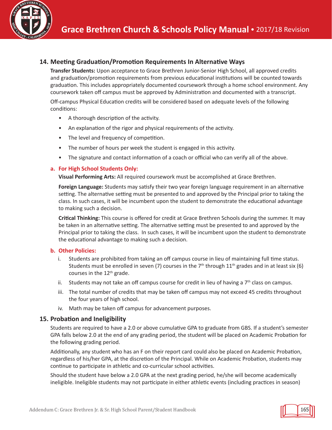

#### **14. Meeting Graduation/Promotion Requirements In Alternative Ways**

**Transfer Students:** Upon acceptance to Grace Brethren Junior-Senior High School, all approved credits and graduation/promotion requirements from previous educational institutions will be counted towards graduation. This includes appropriately documented coursework through a home school environment. Any coursework taken off campus must be approved by Administration and documented with a transcript.

Off-campus Physical Education credits will be considered based on adequate levels of the following conditions:

- A thorough description of the activity.
- An explanation of the rigor and physical requirements of the activity.
- The level and frequency of competition.
- The number of hours per week the student is engaged in this activity.
- The signature and contact information of a coach or official who can verify all of the above.

#### **a. For High School Students Only:**

**Visual Performing Arts:** All required coursework must be accomplished at Grace Brethren.

**Foreign Language:** Students may satisfy their two year foreign language requirement in an alternative setting. The alternative setting must be presented to and approved by the Principal prior to taking the class. In such cases, it will be incumbent upon the student to demonstrate the educational advantage to making such a decision.

**Critical Thinking:** This course is offered for credit at Grace Brethren Schools during the summer. It may be taken in an alternative setting. The alternative setting must be presented to and approved by the Principal prior to taking the class. In such cases, it will be incumbent upon the student to demonstrate the educational advantage to making such a decision.

#### **b. Other Policies:**

- i. Students are prohibited from taking an off campus course in lieu of maintaining full time status. Students must be enrolled in seven (7) courses in the 7<sup>th</sup> through 11<sup>th</sup> grades and in at least six (6) courses in the 12<sup>th</sup> grade.
- ii. Students may not take an off campus course for credit in lieu of having a  $7<sup>th</sup>$  class on campus.
- iii. The total number of credits that may be taken off campus may not exceed 45 credits throughout the four years of high school.
- iv. Math may be taken off campus for advancement purposes.

#### **15. Probation and Ineligibility**

Students are required to have a 2.0 or above cumulative GPA to graduate from GBS. If a student's semester GPA falls below 2.0 at the end of any grading period, the student will be placed on Academic Probation for the following grading period.

Additionally, any student who has an F on their report card could also be placed on Academic Probation, regardless of his/her GPA, at the discretion of the Principal. While on Academic Probation, students may continue to participate in athletic and co-curricular school activities.

Should the student have below a 2.0 GPA at the next grading period, he/she will become academically ineligible. Ineligible students may not participate in either athletic events (including practices in season)

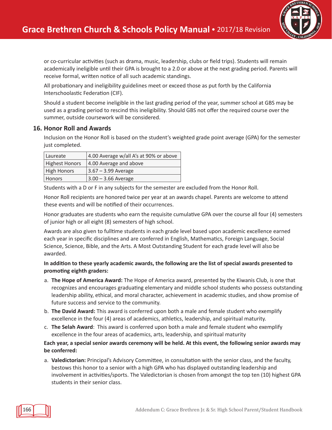

or co-curricular activities (such as drama, music, leadership, clubs or field trips). Students will remain academically ineligible until their GPA is brought to a 2.0 or above at the next grading period. Parents will receive formal, written notice of all such academic standings.

All probationary and ineligibility guidelines meet or exceed those as put forth by the California Interschoolastic Federation (CIF).

Should a student become ineligible in the last grading period of the year, summer school at GBS may be used as a grading period to rescind this ineligibility. Should GBS not offer the required course over the summer, outside coursework will be considered.

#### **16. Honor Roll and Awards**

Inclusion on the Honor Roll is based on the student's weighted grade point average (GPA) for the semester just completed.

| Laureate              | 4.00 Average w/all A's at 90% or above |
|-----------------------|----------------------------------------|
| <b>Highest Honors</b> | 4.00 Average and above                 |
| <b>High Honors</b>    | $3.67 - 3.99$ Average                  |
| <b>Honors</b>         | $3.00 - 3.66$ Average                  |

Students with a D or F in any subjects for the semester are excluded from the Honor Roll.

Honor Roll recipients are honored twice per year at an awards chapel. Parents are welcome to attend these events and will be notified of their occurrences.

Honor graduates are students who earn the requisite cumulative GPA over the course all four (4) semesters of junior high or all eight (8) semesters of high school.

Awards are also given to fulltime students in each grade level based upon academic excellence earned each year in specific disciplines and are conferred in English, Mathematics, Foreign Language, Social Science, Science, Bible, and the Arts. A Most Outstanding Student for each grade level will also be awarded.

#### **In addition to these yearly academic awards, the following are the list of special awards presented to promoting eighth graders:**

- a. **The Hope of America Award:** The Hope of America award, presented by the Kiwanis Club, is one that recognizes and encourages graduating elementary and middle school students who possess outstanding leadership ability, ethical, and moral character, achievement in academic studies, and show promise of future success and service to the community.
- b. **The David Award:** This award is conferred upon both a male and female student who exemplify excellence in the four (4) areas of academics, athletics, leadership, and spiritual maturity.
- c. **The Selah Award**: This award is conferred upon both a male and female student who exemplify excellence in the four areas of academics, arts, leadership, and spiritual maturity

#### Each year, a special senior awards ceremony will be held. At this event, the following senior awards may **be conferred:**

a. **Valedictorian:** Principal's Advisory Committee, in consultation with the senior class, and the faculty, bestows this honor to a senior with a high GPA who has displayed outstanding leadership and involvement in activities/sports. The Valedictorian is chosen from amongst the top ten (10) highest GPA students in their senior class.

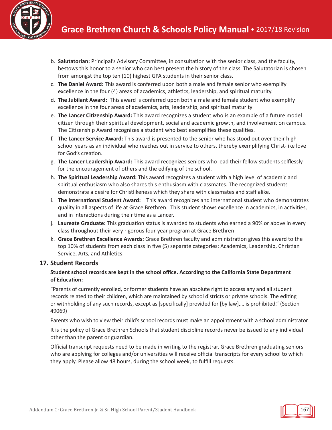

- b. **Salutatorian:** Principal's Advisory Committee, in consultation with the senior class, and the faculty, bestows this honor to a senior who can best present the history of the class. The Salutatorian is chosen from amongst the top ten (10) highest GPA students in their senior class.
- c. **The Daniel Award:** This award is conferred upon both a male and female senior who exemplify excellence in the four (4) areas of academics, athletics, leadership, and spiritual maturity.
- d. **The Jubilant Award:** This award is conferred upon both a male and female student who exemplify excellence in the four areas of academics, arts, leadership, and spiritual maturity
- e. **The Lancer Citizenship Award:** This award recognizes a student who is an example of a future model citizen through their spiritual development, social and academic growth, and involvement on campus. The Citizenship Award recognizes a student who best exemplifies these qualities.
- f. **The Lancer Service Award:** This award is presented to the senior who has stood out over their high school years as an individual who reaches out in service to others, thereby exemplifying Christ-like love for God's creation.
- g. **The Lancer Leadership Award:** This award recognizes seniors who lead their fellow students selflessly for the encouragement of others and the edifying of the school.
- h. **The Spiritual Leadership Award:** This award recognizes a student with a high level of academic and spiritual enthusiasm who also shares this enthusiasm with classmates. The recognized students demonstrate a desire for Christlikeness which they share with classmates and staff alike.
- i. **The International Student Award:** This award recognizes and international student who demonstrates quality in all aspects of life at Grace Brethren. This student shows excellence in academics, in activities, and in interactions during their time as a Lancer.
- j. **Laureate Graduate:** This graduation status is awarded to students who earned a 90% or above in every class throughout their very rigorous four-year program at Grace Brethren
- k. **Grace Brethren Excellence Awards:** Grace Brethren faculty and administration gives this award to the top 10% of students from each class in five (5) separate categories: Academics, Leadership, Christian Service, Arts, and Athletics.

#### **17. Student Records**

#### **Student school records are kept in the school office. According to the California State Department of Education:**

"Parents of currently enrolled, or former students have an absolute right to access any and all student records related to their children, which are maintained by school districts or private schools. The editing or withholding of any such records, except as [specifically] provided for [by law],… is prohibited." (Section 49069)

Parents who wish to view their child's school records must make an appointment with a school administrator.

It is the policy of Grace Brethren Schools that student discipline records never be issued to any individual other than the parent or guardian.

Official transcript requests need to be made in writing to the registrar. Grace Brethren graduating seniors who are applying for colleges and/or universities will receive official transcripts for every school to which they apply. Please allow 48 hours, during the school week, to fulfill requests.

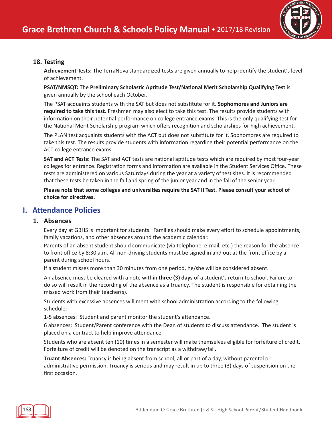

#### **18. Testing**

**Achievement Tests:** The TerraNova standardized tests are given annually to help identify the student's level of achievement.

**PSAT/NMSQT:** The **Preliminary Scholastic Aptitude Test/National Merit Scholarship Qualifying Test** is given annually by the school each October.

The PSAT acquaints students with the SAT but does not substitute for it. **Sophomores and Juniors are required to take this test.** Freshmen may also elect to take this test. The results provide students with information on their potential performance on college entrance exams. This is the only qualifying test for the National Merit Scholarship program which offers recognition and scholarships for high achievement.

The PLAN test acquaints students with the ACT but does not substitute for it. Sophomores are required to take this test. The results provide students with information regarding their potential performance on the ACT college entrance exams.

**SAT and ACT Tests:** The SAT and ACT tests are national aptitude tests which are required by most four-year colleges for entrance. Registration forms and information are available in the Student Services Office. These tests are administered on various Saturdays during the year at a variety of test sites. It is recommended that these tests be taken in the fall and spring of the junior year and in the fall of the senior year.

**Please note that some colleges and universities require the SAT II Test. Please consult your school of choice for directives.**

# **I. Attendance Policies**

#### **1. Absences**

Every day at GBHS is important for students. Families should make every effort to schedule appointments, family vacations, and other absences around the academic calendar.

Parents of an absent student should communicate (via telephone, e-mail, etc.) the reason for the absence to front office by 8:30 a.m. All non-driving students must be signed in and out at the front office by a parent during school hours.

If a student misses more than 30 minutes from one period, he/she will be considered absent.

An absence must be cleared with a note within **three (3) days** of a student's return to school. Failure to do so will result in the recording of the absence as a truancy. The student is responsible for obtaining the missed work from their teacher(s).

Students with excessive absences will meet with school administration according to the following schedule:

1-5 absences: Student and parent monitor the student's attendance.

6 absences: Student/Parent conference with the Dean of students to discuss attendance. The student is placed on a contract to help improve attendance.

Students who are absent ten (10) times in a semester will make themselves eligible for forfeiture of credit. Forfeiture of credit will be denoted on the transcript as a withdraw/fail.

**Truant Absences:** Truancy is being absent from school, all or part of a day, without parental or administrative permission. Truancy is serious and may result in up to three (3) days of suspension on the first occasion.

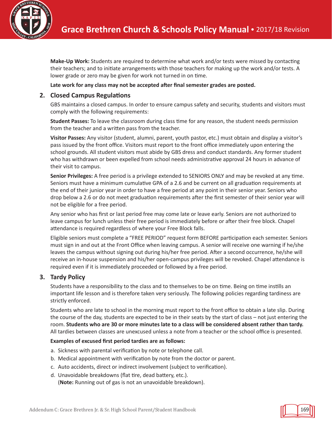

**Make-Up Work:** Students are required to determine what work and/or tests were missed by contacting their teachers; and to initiate arrangements with those teachers for making up the work and/or tests. A lower grade or zero may be given for work not turned in on time.

#### **Late work for any class may not be accepted after final semester grades are posted.**

#### **2. Closed Campus Regulations**

GBS maintains a closed campus. In order to ensure campus safety and security, students and visitors must comply with the following requirements:

**Student Passes:** To leave the classroom during class time for any reason, the student needs permission from the teacher and a written pass from the teacher.

**Visitor Passes:** Any visitor (student, alumni, parent, youth pastor, etc.) must obtain and display a visitor's pass issued by the front office. Visitors must report to the front office immediately upon entering the school grounds. All student visitors must abide by GBS dress and conduct standards. Any former student who has withdrawn or been expelled from school needs administrative approval 24 hours in advance of their visit to campus.

**Senior Privileges:** A free period is a privilege extended to SENIORS ONLY and may be revoked at any time. Seniors must have a minimum cumulative GPA of a 2.6 and be current on all graduation requirements at the end of their junior year in order to have a free period at any point in their senior year. Seniors who drop below a 2.6 or do not meet graduation requirements after the first semester of their senior year will not be eligible for a free period.

Any senior who has first or last period free may come late or leave early. Seniors are not authorized to leave campus for lunch unless their free period is immediately before or after their free block. Chapel attendance is required regardless of where your Free Block falls.

Eligible seniors must complete a "FREE PERIOD" request form BEFORE participation each semester. Seniors must sign in and out at the Front Office when leaving campus. A senior will receive one warning if he/she leaves the campus without signing out during his/her free period. After a second occurrence, he/she will receive an in-house suspension and his/her open-campus privileges will be revoked. Chapel attendance is required even if it is immediately proceeded or followed by a free period.

#### **3. Tardy Policy**

Students have a responsibility to the class and to themselves to be on time. Being on time instills an important life lesson and is therefore taken very seriously. The following policies regarding tardiness are strictly enforced.

Students who are late to school in the morning must report to the front office to obtain a late slip. During the course of the day, students are expected to be in their seats by the start of class – not just entering the room. Students who are 30 or more minutes late to a class will be considered absent rather than tardy. All tardies between classes are unexcused unless a note from a teacher or the school office is presented.

#### **Examples of excused first period tardies are as follows:**

- a. Sickness with parental verification by note or telephone call.
- b. Medical appointment with verification by note from the doctor or parent.
- c. Auto accidents, direct or indirect involvement (subject to verification).
- d. Unavoidable breakdowns (flat tire, dead battery, etc.). (**Note:** Running out of gas is not an unavoidable breakdown).

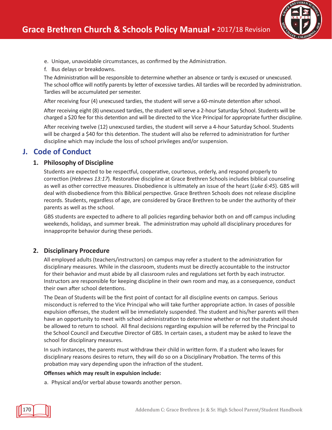

- e. Unique, unavoidable circumstances, as confirmed by the Administration.
- f. Bus delays or breakdowns.

The Administration will be responsible to determine whether an absence or tardy is excused or unexcused. The school office will notify parents by letter of excessive tardies. All tardies will be recorded by administration. Tardies will be accumulated per semester.

After receiving four (4) unexcused tardies, the student will serve a 60-minute detention after school.

After receiving eight (8) unexcused tardies, the student will serve a 2-hour Saturday School. Students will be charged a \$20 fee for this detention and will be directed to the Vice Principal for appropriate further discipline.

After receiving twelve (12) unexcused tardies, the student will serve a 4-hour Saturday School. Students will be charged a \$40 for this detention. The student will also be referred to administration for further discipline which may include the loss of school privileges and/or suspension.

# **J. Code of Conduct**

#### **1. Philosophy of Discipline**

Students are expected to be respectful, cooperative, courteous, orderly, and respond properly to correction (*Hebrews 13:17*). Restorative discipline at Grace Brethren Schools includes biblical counseling as well as other corrective measures. Disobedience is ultimately an issue of the heart (*Luke 6:45*). GBS will deal with disobedience from this Biblical perspective. Grace Brethren Schools does not release discipline records. Students, regardless of age, are considered by Grace Brethren to be under the authority of their parents as well as the school.

GBS students are expected to adhere to all policies regarding behavior both on and off campus including weekends, holidays, and summer break. The administration may uphold all disciplinary procedures for innapproprite behavior during these periods.

#### **2. Disciplinary Procedure**

All employed adults (teachers/instructors) on campus may refer a student to the administration for disciplinary measures. While in the classroom, students must be directly accountable to the instructor for their behavior and must abide by all classroom rules and regulations set forth by each instructor. Instructors are responsible for keeping discipline in their own room and may, as a consequence, conduct their own after school detentions.

The Dean of Students will be the first point of contact for all discipline events on campus. Serious misconduct is referred to the Vice Principal who will take further appropriate action. In cases of possible expulsion offenses, the student will be immediately suspended. The student and his/her parents will then have an opportunity to meet with school administration to determine whether or not the student should be allowed to return to school. All final decisions regarding expulsion will be referred by the Principal to the School Council and Executive Director of GBS. In certain cases, a student may be asked to leave the school for disciplinary measures.

In such instances, the parents must withdraw their child in written form. If a student who leaves for disciplinary reasons desires to return, they will do so on a Disciplinary Probation. The terms of this probation may vary depending upon the infraction of the student.

#### **Offenses which may result in expulsion include:**

a. Physical and/or verbal abuse towards another person.

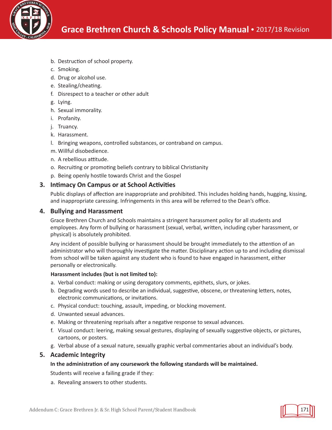

- b. Destruction of school property.
- c. Smoking.
- d. Drug or alcohol use.
- e. Stealing/cheating.
- f. Disrespect to a teacher or other adult
- g. Lying.
- h. Sexual immorality.
- i. Profanity.
- j. Truancy.
- k. Harassment.
- l. Bringing weapons, controlled substances, or contraband on campus.
- m. Willful disobedience.
- n. A rebellious attitude.
- o. Recruiting or promoting beliefs contrary to biblical Christianity
- p. Being openly hostile towards Christ and the Gospel

#### **3. Intimacy On Campus or at School Activities**

Public displays of affection are inappropriate and prohibited. This includes holding hands, hugging, kissing, and inappropriate caressing. Infringements in this area will be referred to the Dean's office.

#### **4. Bullying and Harassment**

Grace Brethren Church and Schools maintains a stringent harassment policy for all students and employees. Any form of bullying or harassment (sexual, verbal, written, including cyber harassment, or physical) is absolutely prohibited.

Any incident of possible bullying or harassment should be brought immediately to the attention of an administrator who will thoroughly investigate the matter. Disciplinary action up to and including dismissal from school will be taken against any student who is found to have engaged in harassment, either personally or electronically.

#### **Harassment includes (but is not limited to):**

- a. Verbal conduct: making or using derogatory comments, epithets, slurs, or jokes.
- b. Degrading words used to describe an individual, suggestive, obscene, or threatening letters, notes, electronic communications, or invitations.
- c. Physical conduct: touching, assault, impeding, or blocking movement.
- d. Unwanted sexual advances.
- e. Making or threatening reprisals after a negative response to sexual advances.
- f. Visual conduct: leering, making sexual gestures, displaying of sexually suggestive objects, or pictures, cartoons, or posters.
- g. Verbal abuse of a sexual nature, sexually graphic verbal commentaries about an individual's body.

#### **5. Academic Integrity**

#### **In the administration of any coursework the following standards will be maintained.**

Students will receive a failing grade if they:

a. Revealing answers to other students.

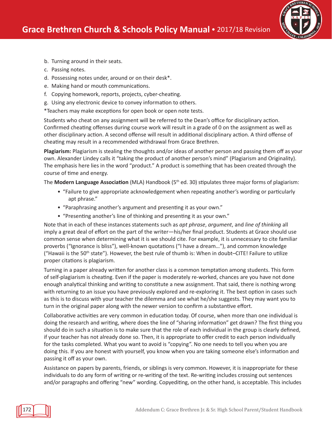

- b. Turning around in their seats.
- c. Passing notes.
- d. Possessing notes under, around or on their desk\*.
- e. Making hand or mouth communications.
- f. Copying homework, reports, projects, cyber-cheating.
- g. Using any electronic device to convey information to others.

\*Teachers may make exceptions for open book or open note tests.

Students who cheat on any assignment will be referred to the Dean's office for disciplinary action. Confirmed cheating offenses during course work will result in a grade of 0 on the assignment as well as other disciplinary action. A second offense will result in additional disciplinary action. A third offense of cheating may result in a recommended withdrawal from Grace Brethren.

**Plagiarism:** Plagiarism is stealing the thoughts and/or ideas of another person and passing them off as your own. Alexander Lindey calls it "taking the product of another person's mind" (Plagiarism and Originality). The emphasis here lies in the word "product." A product is something that has been created through the course of time and energy.

The **Modern Language Association** (MLA) Handbook (5th ed. 30) stipulates three major forms of plagiarism:

- "Failure to give appropriate acknowledgement when repeating another's wording or particularly apt phrase."
- "Paraphrasing another's argument and presenting it as your own."
- "Presenting another's line of thinking and presenting it as your own."

Note that in each of these instances statements such as *apt phrase*, *argument*, and *line of thinking* all imply a great deal of effort on the part of the writer—his/her final product. Students at Grace should use common sense when determining what it is we should cite. For example, it is unnecessary to cite familiar proverbs ("Ignorance is bliss"), well-known quotations ("I have a dream…"), and common knowledge ("Hawaii is the 50<sup>th</sup> state"). However, the best rule of thumb is: When in doubt–CITE! Failure to utilize proper citations is plagiarism.

Turning in a paper already written for another class is a common temptation among students. This form of self-plagiarism is cheating. Even if the paper is moderately re-worked, chances are you have not done enough analytical thinking and writing to constitute a new assignment. That said, there is nothing wrong with returning to an issue you have previously explored and re-exploring it. The best option in cases such as this is to discuss with your teacher the dilemma and see what he/she suggests. They may want you to turn in the original paper along with the newer version to confirm a substantive effort.

Collaborative activities are very common in education today. Of course, when more than one individual is doing the research and writing, where does the line of "sharing information" get drawn? The first thing you should do in such a situation is to make sure that the role of each individual in the group is clearly defined, if your teacher has not already done so. Then, it is appropriate to offer credit to each person individually for the tasks completed. What you want to avoid is "copying". No one needs to tell you when you are doing this. If you are honest with yourself, you know when you are taking someone else's information and passing it off as your own.

Assistance on papers by parents, friends, or siblings is very common. However, it is inappropriate for these individuals to do any form of writing or re-writing of the text. Re-writing includes crossing out sentences and/or paragraphs and offering "new" wording. Copyediting, on the other hand, is acceptable. This includes

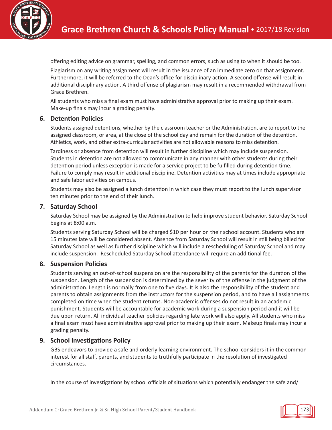

offering editing advice on grammar, spelling, and common errors, such as using to when it should be too.

Plagiarism on any writing assignment will result in the issuance of an immediate zero on that assignment. Furthermore, it will be referred to the Dean's office for disciplinary action. A second offense will result in additional disciplinary action. A third offense of plagiarism may result in a recommended withdrawal from Grace Brethren.

All students who miss a final exam must have administrative approval prior to making up their exam. Make-up finals may incur a grading penalty.

#### **6. Detention Policies**

Students assigned detentions, whether by the classroom teacher or the Administration, are to report to the assigned classroom, or area, at the close of the school day and remain for the duration of the detention. Athletics, work, and other extra-curricular activities are not allowable reasons to miss detention.

Tardiness or absence from detention will result in further discipline which may include suspension. Students in detention are not allowed to communicate in any manner with other students during their detention period unless exception is made for a service project to be fulfilled during detention time. Failure to comply may result in additional discipline. Detention activities may at times include appropriate and safe labor activities on campus.

Students may also be assigned a lunch detention in which case they must report to the lunch supervisor ten minutes prior to the end of their lunch.

#### **7. Saturday School**

Saturday School may be assigned by the Administration to help improve student behavior. Saturday School begins at 8:00 a.m.

Students serving Saturday School will be charged \$10 per hour on their school account. Students who are 15 minutes late will be considered absent. Absence from Saturday School will result in still being billed for Saturday School as well as further discipline which will include a rescheduling of Saturday School and may include suspension. Rescheduled Saturday School attendance will require an additional fee.

#### **8. Suspension Policies**

Students serving an out-of-school suspension are the responsibility of the parents for the duration of the suspension. Length of the suspension is determined by the severity of the offense in the judgment of the administration. Length is normally from one to five days. It is also the responsibility of the student and parents to obtain assignments from the instructors for the suspension period, and to have all assignments completed on time when the student returns. Non-academic offenses do not result in an academic punishment. Students will be accountable for academic work during a suspension period and it will be due upon return. All individual teacher policies regarding late work will also apply. All students who miss a final exam must have administrative approval prior to making up their exam. Makeup finals may incur a grading penalty.

#### **9. School Investigations Policy**

GBS endeavors to provide a safe and orderly learning environment. The school considers it in the common interest for all staff, parents, and students to truthfully participate in the resolution of investigated circumstances.

In the course of investigations by school officials of situations which potentially endanger the safe and/

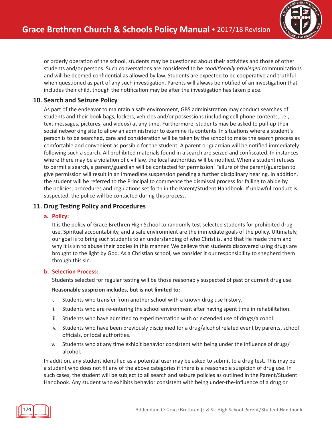

or orderly operation of the school, students may be questioned about their activities and those of other students and/or persons. Such conversations are considered to be *conditionally privileged* communications and will be deemed confidential as allowed by law. Students are expected to be cooperative and truthful when questioned as part of any such investigation. Parents will always be notified of an investigation that includes their child, though the notification may be after the investigation has taken place.

#### **10. Search and Seizure Policy**

As part of the endeavor to maintain a safe environment, GBS administration may conduct searches of students and their book bags, lockers, vehicles and/or possessions (including cell phone contents, i.e., text messages, pictures, and videos) at any time. Furthermore, students may be asked to pull-up their social networking site to allow an administrator to examine its contents. In situations where a student's person is to be searched, care and consideration will be taken by the school to make the search process as comfortable and convenient as possible for the student. A parent or guardian will be notified immediately following such a search. All prohibited materials found in a search are seized and confiscated. In instances where there may be a violation of civil law, the local authorities will be notified. When a student refuses to permit a search, a parent/guardian will be contacted for permission. Failure of the parent/guardian to give permission will result in an immediate suspension pending a further disciplinary hearing. In addition, the student will be referred to the Principal to commence the dismissal process for failing to abide by the policies, procedures and regulations set forth in the Parent/Student Handbook. If unlawful conduct is suspected, the police will be contacted during this process.

#### **11. Drug Testing Policy and Procedures**

#### **a. Policy:**

It is the policy of Grace Brethren High School to randomly test selected students for prohibited drug use. Spiritual accountability, and a safe environment are the immediate goals of the policy. Ultimately, our goal is to bring such students to an understanding of who Christ is, and that He made them and why it is sin to abuse their bodies in this manner. We believe that students discovered using drugs are brought to the light by God. As a Christian school, we consider it our responsibility to shepherd them through this sin.

#### **b. Selection Process:**

Students selected for regular testing will be those reasonably suspected of past or current drug use.

#### **Reasonable suspicion includes, but is not limited to:**

- i. Students who transfer from another school with a known drug use history.
- ii. Students who are re-entering the school environment after having spent time in rehabilitation.
- iii. Students who have admitted to experimentation with or extended use of drugs/alcohol.
- iv. Students who have been previously disciplined for a drug/alcohol related event by parents, school officials, or local authorities.
- v. Students who at any time exhibit behavior consistent with being under the influence of drugs/ alcohol.

In addition, any student identified as a potential user may be asked to submit to a drug test. This may be a student who does not fit any of the above categories if there is a reasonable suspicion of drug use. In such cases, the student will be subject to all search and seizure policies as outlined in the Parent/Student Handbook. Any student who exhibits behavior consistent with being under-the-influence of a drug or

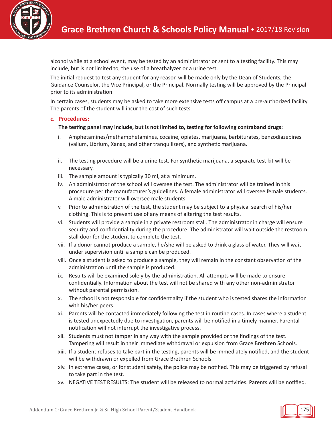

alcohol while at a school event, may be tested by an administrator or sent to a testing facility. This may include, but is not limited to, the use of a breathalyzer or a urine test.

The initial request to test any student for any reason will be made only by the Dean of Students, the Guidance Counselor, the Vice Principal, or the Principal. Normally testing will be approved by the Principal prior to its administration.

In certain cases, students may be asked to take more extensive tests off campus at a pre-authorized facility. The parents of the student will incur the cost of such tests.

#### **c. Procedures:**

#### **The testing panel may include, but is not limited to, testing for following contraband drugs:**

- i. Amphetamines/methamphetamines, cocaine, opiates, marijuana, barbiturates, benzodiazepines (valium, Librium, Xanax, and other tranquilizers), and synthetic marijuana.
- ii. The testing procedure will be a urine test. For synthetic marijuana, a separate test kit will be necessary.
- iii. The sample amount is typically 30 ml, at a minimum.
- iv. An administrator of the school will oversee the test. The administrator will be trained in this procedure per the manufacturer's guidelines. A female administrator will oversee female students. A male administrator will oversee male students.
- v. Prior to administration of the test, the student may be subject to a physical search of his/her clothing. This is to prevent use of any means of altering the test results.
- vi. Students will provide a sample in a private restroom stall. The administrator in charge will ensure security and confidentiality during the procedure. The administrator will wait outside the restroom stall door for the student to complete the test.
- vii. If a donor cannot produce a sample, he/she will be asked to drink a glass of water. They will wait under supervision until a sample can be produced.
- viii. Once a student is asked to produce a sample, they will remain in the constant observation of the administration until the sample is produced.
- ix. Results will be examined solely by the administration. All attempts will be made to ensure confidentially. Information about the test will not be shared with any other non-administrator without parental permission.
- x. The school is not responsible for confidentiality if the student who is tested shares the information with his/her peers.
- xi. Parents will be contacted immediately following the test in routine cases. In cases where a student is tested unexpectedly due to investigation, parents will be notified in a timely manner. Parental notification will not interrupt the investigative process.
- xii. Students must not tamper in any way with the sample provided or the findings of the test. Tampering will result in their immediate withdrawal or expulsion from Grace Brethren Schools.
- xiii. If a student refuses to take part in the testing, parents will be immediately notified, and the student will be withdrawn or expelled from Grace Brethren Schools.
- xiv. In extreme cases, or for student safety, the police may be notified. This may be triggered by refusal to take part in the test.
- xv. NEGATIVE TEST RESULTS: The student will be released to normal activities. Parents will be notified.

175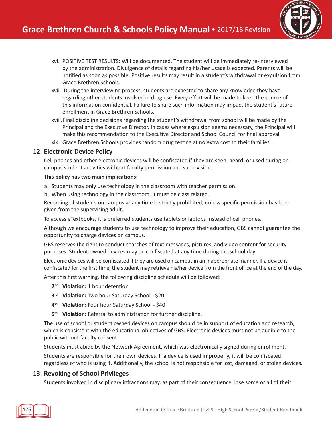

- xvi. POSITIVE TEST RESULTS: Will be documented. The student will be immediately re-interviewed by the administration. Divulgence of details regarding his/her usage is expected. Parents will be notified as soon as possible. Positive results may result in a student's withdrawal or expulsion from Grace Brethren Schools.
- xvii. During the interviewing process, students are expected to share any knowledge they have regarding other students involved in drug use. Every effort will be made to keep the source of this information confidential. Failure to share such information may impact the student's future enrollment in Grace Brethren Schools.
- xviii.Final discipline decisions regarding the student's withdrawal from school will be made by the Principal and the Executive Director. In cases where expulsion seems necessary, the Principal will make this recommendation to the Executive Director and School Council for final approval.
- xix. Grace Brethren Schools provides random drug testing at no extra cost to their families.

#### **12. Electronic Device Policy**

Cell phones and other electronic devices will be confiscated if they are seen, heard, or used during oncampus student activities without faculty permission and supervision.

#### **This policy has two main implications:**

- a. Students may only use technology in the classroom with teacher permission.
- b. When using technology in the classroom, it must be class related.

Recording of students on campus at any time is strictly prohibited, unless specific permission has been given from the supervising adult.

To access eTextbooks, it is preferred students use tablets or laptops instead of cell phones.

Although we encourage students to use technology to improve their education, GBS cannot guarantee the opportunity to charge devices on campus.

GBS reserves the right to conduct searches of text messages, pictures, and video content for security purposes. Student-owned devices may be confiscated at any time during the school day.

Electronic devices will be confiscated if they are used on campus in an inappropriate manner. If a device is confiscated for the first time, the student may retrieve his/her device from the front office at the end of the day.

After this first warning, the following discipline schedule will be followed:

- **2nd Violation:** 1 hour detention
- **3rd Violation:** Two hour Saturday School \$20
- **4th Violation:** Four hour Saturday School \$40
- **5th Violation:** Referral to administration for further discipline.

The use of school or student owned devices on campus should be in support of education and research, which is consistent with the educational objectives of GBS. Electronic devices must not be audible to the public without faculty consent.

Students must abide by the Network Agreement, which was electronically signed during enrollment.

Students are responsible for their own devices. If a device is used improperly, it will be confiscated regardless of who is using it. Additionally, the school is not responsible for lost, damaged, or stolen devices.

#### **13. Revoking of School Privileges**

Students involved in disciplinary infractions may, as part of their consequence, lose some or all of their

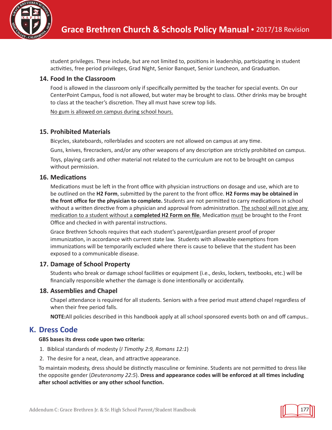

student privileges. These include, but are not limited to, positions in leadership, participating in student activities, free period privileges, Grad Night, Senior Banquet, Senior Luncheon, and Graduation.

#### **14. Food In the Classroom**

Food is allowed in the classroom only if specifically permitted by the teacher for special events. On our CenterPoint Campus, food is not allowed, but water may be brought to class. Other drinks may be brought to class at the teacher's discretion. They all must have screw top lids.

No gum is allowed on campus during school hours.

#### **15. Prohibited Materials**

Bicycles, skateboards, rollerblades and scooters are not allowed on campus at any time.

Guns, knives, firecrackers, and/or any other weapons of any description are strictly prohibited on campus.

Toys, playing cards and other material not related to the curriculum are not to be brought on campus without permission.

#### **16. Medications**

Medications must be left in the front office with physician instructions on dosage and use, which are to be outlined on the **H2 Form**, submitted by the parent to the front office. **H2 Forms may be obtained in the front office for the physician to complete.** Students are not permitted to carry medications in school without a written directive from a physician and approval from administration. The school will not give any medication to a student without a **completed H2 Form on file**. Medication must be brought to the Front Office and checked in with parental instructions.

Grace Brethren Schools requires that each student's parent/guardian present proof of proper immunization, in accordance with current state law. Students with allowable exemptions from immunizations will be temporarily excluded where there is cause to believe that the student has been exposed to a communicable disease.

#### **17. Damage of School Property**

Students who break or damage school facilities or equipment (i.e., desks, lockers, textbooks, etc.) will be financially responsible whether the damage is done intentionally or accidentally.

#### **18. Assemblies and Chapel**

Chapel attendance is required for all students. Seniors with a free period must attend chapel regardless of when their free period falls.

**NOTE:**All policies described in this handbook apply at all school sponsored events both on and off campus..

# **K. Dress Code**

#### **GBS bases its dress code upon two criteria:**

- 1. Biblical standards of modesty (*I Timothy 2:9, Romans 12:1*)
- 2. The desire for a neat, clean, and attractive appearance.

To maintain modesty, dress should be distinctly masculine or feminine. Students are not permitted to dress like the opposite gender (*Deuteronomy 22:5*). **Dress and appearance codes will be enforced at all times including after school activities or any other school function.**

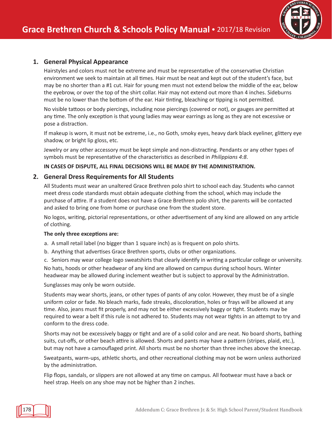

#### **1. General Physical Appearance**

Hairstyles and colors must not be extreme and must be representative of the conservative Christian environment we seek to maintain at all times. Hair must be neat and kept out of the student's face, but may be no shorter than a #1 cut. Hair for young men must not extend below the middle of the ear, below the eyebrow, or over the top of the shirt collar. Hair may not extend out more than 4 inches. Sideburns must be no lower than the bottom of the ear. Hair tinting, bleaching or tipping is not permitted.

No visible tattoos or body piercings, including nose piercings (covered or not), or gauges are permitted at any time. The only exception is that young ladies may wear earrings as long as they are not excessive or pose a distraction.

If makeup is worn, it must not be extreme, i.e., no Goth, smoky eyes, heavy dark black eyeliner, glittery eye shadow, or bright lip gloss, etc.

Jewelry or any other accessory must be kept simple and non-distracting. Pendants or any other types of symbols must be representative of the characteristics as described in *Philippians 4:8*.

#### **IN CASES OF DISPUTE, ALL FINAL DECISIONS WILL BE MADE BY THE ADMINISTRATION.**

#### **2. General Dress Requirements for All Students**

All Students must wear an unaltered Grace Brethren polo shirt to school each day. Students who cannot meet dress code standards must obtain adequate clothing from the school, which may include the purchase of attire. If a student does not have a Grace Brethren polo shirt, the parents will be contacted and asked to bring one from home or purchase one from the student store.

No logos, writing, pictorial representations, or other advertisement of any kind are allowed on any article of clothing.

#### **The only three exceptions are:**

- a. A small retail label (no bigger than 1 square inch) as is frequent on polo shirts.
- b. Anything that advertises Grace Brethren sports, clubs or other organizations.

c. Seniors may wear college logo sweatshirts that clearly identify in writing a particular college or university. No hats, hoods or other headwear of any kind are allowed on campus during school hours. Winter headwear may be allowed during inclement weather but is subject to approval by the Administration.

Sunglasses may only be worn outside.

Students may wear shorts, jeans, or other types of pants of any color. However, they must be of a single uniform color or fade. No bleach marks, fade streaks, discoloration, holes or frays will be allowed at any time. Also, jeans must fit properly, and may not be either excessively baggy or tight. Students may be required to wear a belt if this rule is not adhered to. Students may not wear tights in an attempt to try and conform to the dress code.

Shorts may not be excessively baggy or tight and are of a solid color and are neat. No board shorts, bathing suits, cut-offs, or other beach attire is allowed. Shorts and pants may have a pattern (stripes, plaid, etc.), but may not have a camouflaged print. All shorts must be no shorter than three inches above the kneecap.

Sweatpants, warm-ups, athletic shorts, and other recreational clothing may not be worn unless authorized by the administration.

Flip flops, sandals, or slippers are not allowed at any time on campus. All footwear must have a back or heel strap. Heels on any shoe may not be higher than 2 inches.

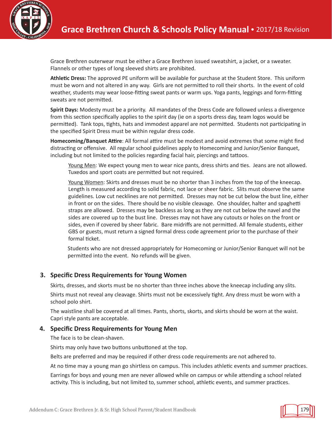

Grace Brethren outerwear must be either a Grace Brethren issued sweatshirt, a jacket, or a sweater. Flannels or other types of long sleeved shirts are prohibited.

**Athletic Dress:** The approved PE uniform will be available for purchase at the Student Store. This uniform must be worn and not altered in any way. Girls are not permitted to roll their shorts. In the event of cold weather, students may wear loose-fitting sweat pants or warm ups. Yoga pants, leggings and form-fitting sweats are not permitted.

**Spirit Days:** Modesty must be a priority. All mandates of the Dress Code are followed unless a divergence from this section specifically applies to the spirit day (ie on a sports dress day, team logos would be permitted). Tank tops, tights, hats and immodest apparel are not permitted. Students not participating in the specified Spirit Dress must be within regular dress code.

**Homecoming/Banquet Attire**: All formal attire must be modest and avoid extremes that some might find distracting or offensive. All regular school guidelines apply to Homecoming and Junior/Senior Banquet, including but not limited to the policies regarding facial hair, piercings and tattoos.

Young Men: We expect young men to wear nice pants, dress shirts and ties. Jeans are not allowed. Tuxedos and sport coats are permitted but not required.

Young Women: Skirts and dresses must be no shorter than 3 inches from the top of the kneecap. Length is measured according to solid fabric, not lace or sheer fabric. Slits must observe the same guidelines. Low cut necklines are not permitted. Dresses may not be cut below the bust line, either in front or on the sides. There should be no visible cleavage. One shoulder, halter and spaghetti straps are allowed. Dresses may be backless as long as they are not cut below the navel and the sides are covered up to the bust line. Dresses may not have any cutouts or holes on the front or sides, even if covered by sheer fabric. Bare midriffs are not permitted. All female students, either GBS or guests, must return a signed formal dress code agreement prior to the purchase of their formal ticket.

Students who are not dressed appropriately for Homecoming or Junior/Senior Banquet will not be permitted into the event. No refunds will be given.

#### **3. Specific Dress Requirements for Young Women**

Skirts, dresses, and skorts must be no shorter than three inches above the kneecap including any slits.

Shirts must not reveal any cleavage. Shirts must not be excessively tight. Any dress must be worn with a school polo shirt.

The waistline shall be covered at all times. Pants, shorts, skorts, and skirts should be worn at the waist. Capri style pants are acceptable.

#### **4. Specific Dress Requirements for Young Men**

The face is to be clean-shaven.

Shirts may only have two buttons unbuttoned at the top.

Belts are preferred and may be required if other dress code requirements are not adhered to.

At no time may a young man go shirtless on campus. This includes athletic events and summer practices.

Earrings for boys and young men are never allowed while on campus or while attending a school related activity. This is including, but not limited to, summer school, athletic events, and summer practices.

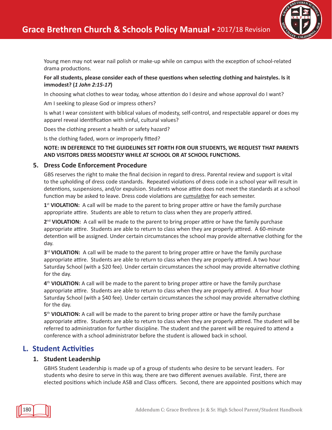

Young men may not wear nail polish or make-up while on campus with the exception of school-related drama productions.

#### **For all students, please consider each of these questions when selecting clothing and hairstyles. Is it immodest? (***1 John 2:15-17***)**

In choosing what clothes to wear today, whose attention do I desire and whose approval do I want?

Am I seeking to please God or impress others?

Is what I wear consistent with biblical values of modesty, self-control, and respectable apparel or does my apparel reveal identification with sinful, cultural values?

Does the clothing present a health or safety hazard?

Is the clothing faded, worn or improperly fitted?

#### **NOTE: IN DEFERENCE TO THE GUIDELINES SET FORTH FOR OUR STUDENTS, WE REQUEST THAT PARENTS AND VISITORS DRESS MODESTLY WHILE AT SCHOOL OR AT SCHOOL FUNCTIONS.**

#### **5. Dress Code Enforcement Procedure**

GBS reserves the right to make the final decision in regard to dress. Parental review and support is vital to the upholding of dress code standards. Repeated violations of dress code in a school year will result in detentions, suspensions, and/or expulsion. Students whose attire does not meet the standards at a school function may be asked to leave. Dress code violations are cumulative for each semester.

**1**st **VIOLATION:** A call will be made to the parent to bring proper attire or have the family purchase appropriate attire. Students are able to return to class when they are properly attired.

**2**nd **VIOLATION:** A call will be made to the parent to bring proper attire or have the family purchase appropriate attire. Students are able to return to class when they are properly attired. A 60-minute detention will be assigned. Under certain circumstances the school may provide alternative clothing for the day.

**3**rd **VIOLATION:** A call will be made to the parent to bring proper attire or have the family purchase appropriate attire. Students are able to return to class when they are properly attired. A two hour Saturday School (with a \$20 fee). Under certain circumstances the school may provide alternative clothing for the day.

**4**th **VIOLATION:** A call will be made to the parent to bring proper attire or have the family purchase appropriate attire. Students are able to return to class when they are properly attired. A four hour Saturday School (with a \$40 fee). Under certain circumstances the school may provide alternative clothing for the day.

**5**th **VIOLATION:** A call will be made to the parent to bring proper attire or have the family purchase appropriate attire. Students are able to return to class when they are properly attired. The student will be referred to administration for further discipline. The student and the parent will be required to attend a conference with a school administrator before the student is allowed back in school.

# **L. Student Activities**

#### **1. Student Leadership**

GBHS Student Leadership is made up of a group of students who desire to be servant leaders. For students who desire to serve in this way, there are two different avenues available. First, there are elected positions which include ASB and Class officers. Second, there are appointed positions which may

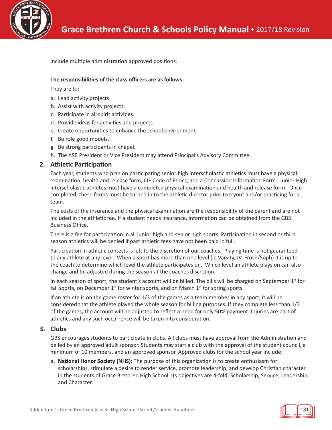

include multiple administration approved positions.

#### **The responsibilities of the class officers are as follows:**

They are to:

- a. Lead activity projects.
- b. Assist with activity projects.
- c. Participate in all spirit activities.
- d. Provide ideas for activities and projects.
- e. Create opportunities to enhance the school environment.
- f. Be role good models.
- g. Be strong participants in chapel.
- h. The ASB President or Vice President may attend Principal's Advisory Committee.

#### **2. Athletic Participation**

Each year, students who plan on participating senior high interscholastic athletics must have a physical examination, health and release form, CIF Code of Ethics, and a Concussion Information Form. Junior High interscholastic athletes must have a completed physical examination and health and release form. Once completed, these forms must be turned in to the athletic director prior to tryout and/or practicing for a team.

The costs of the insurance and the physical examination are the responsibility of the parent and are not included in the athletic fee. If a student needs insurance, information can be obtained from the GBS Business Office.

There is a fee for participation in all junior high and senior high sports. Participation in second or third season athletics will be denied if past athletic fees have not been paid in full.

Participation in athletic contests is left to the discretion of our coaches. Playing time is not guaranteed to any athlete at any level. When a sport has more than one level (ie Varsity, JV, Frosh/Soph) it is up to the coach to determine which level the athlete participates on. Which level an athlete plays on can also change and be adjusted during the season at the coaches discretion.

In each season of sport, the student's account will be billed. The bills will be charged on September  $1<sup>st</sup>$  for fall sports, on December  $1<sup>st</sup>$  for winter sports, and on March  $1<sup>st</sup>$  for spring sports.

If an athlete is on the game roster for 1/3 of the games as a team member in any sport, it will be considered that the athlete played the whole season for billing purposes. If they complete less than 1/3 of the games, the account will be adjusted to reflect a need for only 50% payment. Injuries are part of athletics and any such occurrence will be taken into consideration.

#### **3. Clubs**

GBS encourages students to participate in clubs. All clubs must have approval from the Administration and be led by an approved adult sponsor. Students may start a club with the approval of the student council, a minimum of 10 members, and an approved sponsor. Approved clubs for the school year include:

a. **National Honor Society (NHS):** The purpose of this organization is to create enthusiasm for scholarships, stimulate a desire to render service, promote leadership, and develop Christian character in the students of Grace Brethren High School. Its objectives are 4-fold: Scholarship, Service, Leadership, and Character.

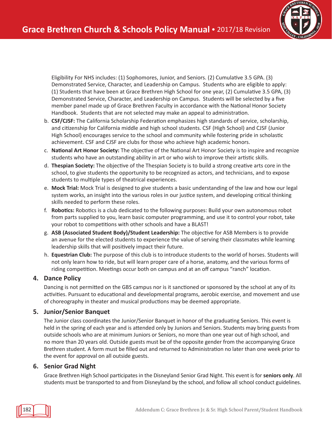

Eligibility For NHS includes: (1) Sophomores, Junior, and Seniors. (2) Cumulative 3.5 GPA. (3) Demonstrated Service, Character, and Leadership on Campus. Students who are eligible to apply: (1) Students that have been at Grace Brethren High School for one year, (2) Cumulative 3.5 GPA, (3) Demonstrated Service, Character, and Leadership on Campus. Students will be selected by a five member panel made up of Grace Brethren Faculty in accordance with the National Honor Society Handbook. Students that are not selected may make an appeal to administration.

- b. **CSF/CJSF:** The California Scholarship Federation emphasizes high standards of service, scholarship, and citizenship for California middle and high school students. CSF (High School) and CJSF (Junior High School) encourages service to the school and community while fostering pride in scholastic achievement. CSF and CJSF are clubs for those who achieve high academic honors.
- c. **National Art Honor Society:** The objective of the National Art Honor Society is to inspire and recognize students who have an outstanding ability in art or who wish to improve their artistic skills.
- d. **Thespian Society:** The objective of the Thespian Society is to build a strong creative arts core in the school, to give students the opportunity to be recognized as actors, and technicians, and to expose students to multiple types of theatrical experiences.
- e. **Mock Trial:** Mock Trial is designed to give students a basic understanding of the law and how our legal system works, an insight into the various roles in our justice system, and developing critical thinking skills needed to perform these roles.
- f. **Robotics:** Robotics is a club dedicated to the following purposes: Build your own autonomous robot from parts supplied to you, learn basic computer programming, and use it to control your robot, take your robot to competitions with other schools and have a BLAST!
- g. **ASB (Associated Student Body)/Student Leadership:** The objective for ASB Members is to provide an avenue for the elected students to experience the value of serving their classmates while learning leadership skills that will positively impact their future.
- h. **Equestrian Club:** The purpose of this club is to introduce students to the world of horses. Students will not only learn how to ride, but will learn proper care of a horse, anatomy, and the various forms of riding competition. Meetings occur both on campus and at an off campus "ranch" location.

#### **4. Dance Policy**

Dancing is not permitted on the GBS campus nor is it sanctioned or sponsored by the school at any of its activities. Pursuant to educational and developmental programs, aerobic exercise, and movement and use of choreography in theater and musical productions may be deemed appropriate.

#### **5. Junior/Senior Banquet**

The Junior class coordinates the Junior/Senior Banquet in honor of the graduating Seniors. This event is held in the spring of each year and is attended only by Juniors and Seniors. Students may bring guests from outside schools who are at minimum Juniors or Seniors, no more than one year out of high school, and no more than 20 years old. Outside guests must be of the opposite gender from the accompanying Grace Brethren student. A form must be filled out and returned to Administration no later than one week prior to the event for approval on all outside guests.

#### **6. Senior Grad Night**

Grace Brethren High School participates in the Disneyland Senior Grad Night. This event is for **seniors only**. All students must be transported to and from Disneyland by the school, and follow all school conduct guidelines.

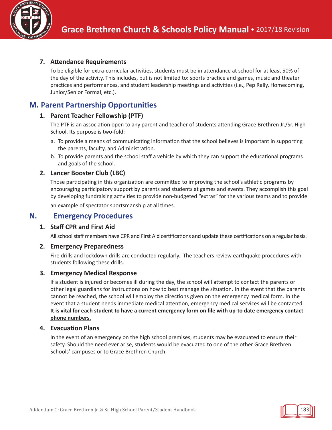

#### **7. Attendance Requirements**

To be eligible for extra-curricular activities, students must be in attendance at school for at least 50% of the day of the activity. This includes, but is not limited to: sports practice and games, music and theater practices and performances, and student leadership meetings and activities (i.e., Pep Rally, Homecoming, Junior/Senior Formal, etc.).

# **M. Parent Partnership Opportunities**

#### **1. Parent Teacher Fellowship (PTF)**

The PTF is an association open to any parent and teacher of students attending Grace Brethren Jr./Sr. High School. Its purpose is two-fold:

- a. To provide a means of communicating information that the school believes is important in supporting the parents, faculty, and Administration.
- b. To provide parents and the school staff a vehicle by which they can support the educational programs and goals of the school.

#### **2. Lancer Booster Club (LBC)**

Those participating in this organization are committed to improving the school's athletic programs by encouraging participatory support by parents and students at games and events. They accomplish this goal by developing fundraising activities to provide non-budgeted "extras" for the various teams and to provide an example of spectator sportsmanship at all times.

## **N. Emergency Procedures**

#### **1. Staff CPR and First Aid**

All school staff members have CPR and First Aid certifications and update these certifications on a regular basis.

#### **2. Emergency Preparedness**

Fire drills and lockdown drills are conducted regularly. The teachers review earthquake procedures with students following these drills.

#### **3. Emergency Medical Response**

If a student is injured or becomes ill during the day, the school will attempt to contact the parents or other legal guardians for instructions on how to best manage the situation. In the event that the parents cannot be reached, the school will employ the directions given on the emergency medical form. In the event that a student needs immediate medical attention, emergency medical services will be contacted. It is vital for each student to have a current emergency form on file with up-to date emergency contact **phone numbers.**

#### **4. Evacuation Plans**

In the event of an emergency on the high school premises, students may be evacuated to ensure their safety. Should the need ever arise, students would be evacuated to one of the other Grace Brethren Schools' campuses or to Grace Brethren Church.

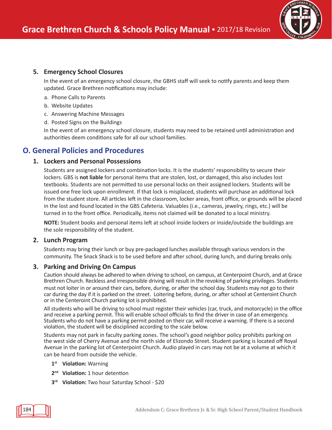

#### **5. Emergency School Closures**

In the event of an emergency school closure, the GBHS staff will seek to notify parents and keep them updated. Grace Brethren notifications may include:

- a. Phone Calls to Parents
- b. Website Updates
- c. Answering Machine Messages
- d. Posted Signs on the Buildings

In the event of an emergency school closure, students may need to be retained until administration and authorities deem conditions safe for all our school families.

# **O. General Policies and Procedures**

#### **1. Lockers and Personal Possessions**

Students are assigned lockers and combination locks. It is the students' responsibility to secure their lockers. GBS is **not liable** for personal items that are stolen, lost, or damaged, this also includes lost textbooks. Students are not permitted to use personal locks on their assigned lockers. Students will be issued one free lock upon enrollment. If that lock is misplaced, students will purchase an additional lock from the student store. All articles left in the classroom, locker areas, front office, or grounds will be placed in the lost and found located in the GBS Cafeteria. Valuables (i.e., cameras, jewelry, rings, etc.) will be turned in to the front office. Periodically, items not claimed will be donated to a local ministry.

**NOTE:** Student books and personal items left at school inside lockers or inside/outside the buildings are the sole responsibility of the student.

#### **2. Lunch Program**

Students may bring their lunch or buy pre-packaged lunches available through various vendors in the community. The Snack Shack is to be used before and after school, during lunch, and during breaks only.

#### **3. Parking and Driving On Campus**

Caution should always be adhered to when driving to school, on campus, at Centerpoint Church, and at Grace Brethren Church. Reckless and irresponsible driving will result in the revoking of parking privileges. Students must not loiter in or around their cars, before, during, or after the school day. Students may not go to their car during the day if it is parked on the street. Loitering before, during, or after school at Centeroint Church or in the Centeroint Church parking lot is prohibited.

All students who will be driving to school must register their vehicles (car, truck, and motorcycle) in the office and receive a parking permit. This will enable school officials to find the driver in case of an emergency. Students who do not have a parking permit posted on their car, will receive a warning. If there is a second violation, the student will be disciplined according to the scale below.

Students may not park in faculty parking zones. The school's good neighbor policy prohibits parking on the west side of Cherry Avenue and the north side of Elizondo Street. Student parking is located off Royal Avenue in the parking lot of Centerpoint Church. Audio played in cars may not be at a volume at which it can be heard from outside the vehicle.

- **1st Violation:** Warning
- **2nd Violation:** 1 hour detention
- **3rd Violation:** Two hour Saturday School \$20

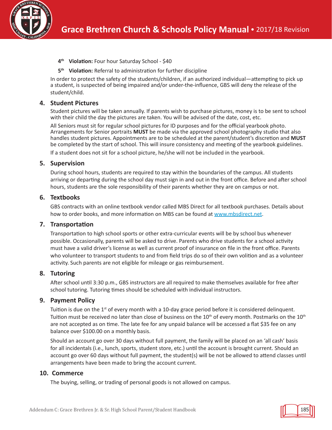

- **4th Violation:** Four hour Saturday School \$40
- **5th Violation:** Referral to administration for further discipline

In order to protect the safety of the students/children, if an authorized individual—attempting to pick up a student, is suspected of being impaired and/or under-the-influence, GBS will deny the release of the student/child.

#### **4. Student Pictures**

Student pictures will be taken annually. If parents wish to purchase pictures, money is to be sent to school with their child the day the pictures are taken. You will be advised of the date, cost, etc.

All Seniors must sit for regular school pictures for ID purposes and for the official yearbook photo. Arrangements for Senior portraits **MUST** be made via the approved school photography studio that also handles student pictures. Appointments are to be scheduled at the parent/student's discretion and **MUST** be completed by the start of school. This will insure consistency and meeting of the yearbook guidelines.

If a student does not sit for a school picture, he/she will not be included in the yearbook.

#### **5. Supervision**

During school hours, students are required to stay within the boundaries of the campus. All students arriving or departing during the school day must sign in and out in the front office. Before and after school hours, students are the sole responsibility of their parents whether they are on campus or not.

#### **6. Textbooks**

GBS contracts with an online textbook vendor called MBS Direct for all textbook purchases. Details about how to order books, and more information on MBS can be found at www.mbsdirect.net.

#### **7. Transportation**

Transportation to high school sports or other extra-curricular events will be by school bus whenever possible. Occasionally, parents will be asked to drive. Parents who drive students for a school activity must have a valid driver's license as well as current proof of insurance on file in the front office. Parents who volunteer to transport students to and from field trips do so of their own volition and as a volunteer activity. Such parents are not eligible for mileage or gas reimbursement.

#### **8. Tutoring**

After school until 3:30 p.m., GBS instructors are all required to make themselves available for free after school tutoring. Tutoring times should be scheduled with individual instructors.

#### **9. Payment Policy**

Tuition is due on the  $1<sup>st</sup>$  of every month with a 10-day grace period before it is considered delinquent. Tuition must be received no later than close of business on the  $10^{th}$  of every month. Postmarks on the  $10^{th}$ are not accepted as on time. The late fee for any unpaid balance will be accessed a flat \$35 fee on any balance over \$100.00 on a monthly basis.

Should an account go over 30 days without full payment, the family will be placed on an 'all cash' basis for all incidentals (i.e., lunch, sports, student store, etc.) until the account is brought current. Should an account go over 60 days without full payment, the student(s) will be not be allowed to attend classes until arrangements have been made to bring the account current.

#### **10. Commerce**

The buying, selling, or trading of personal goods is not allowed on campus.